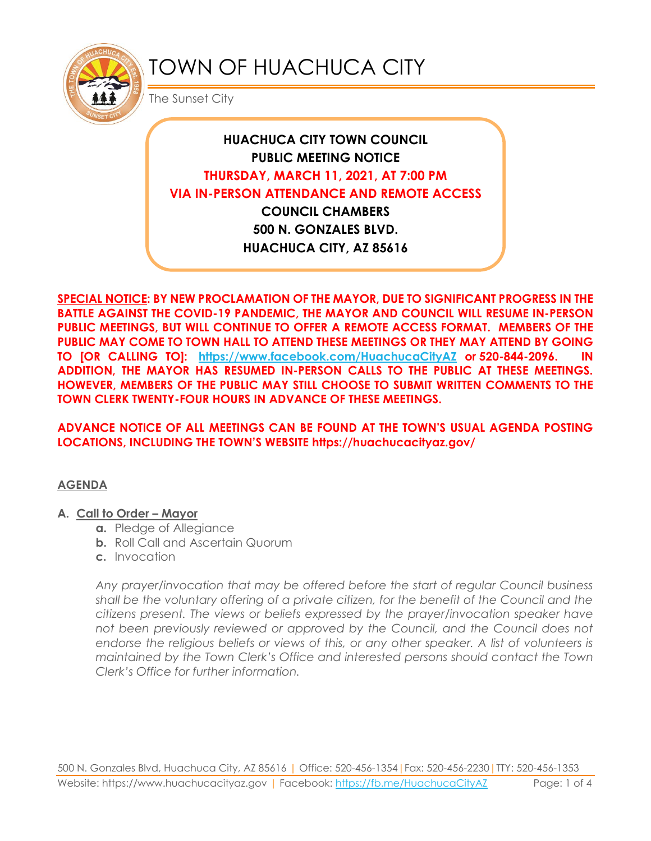

# TOWN OF HUACHUCA CITY

The Sunset City

# **HUACHUCA CITY TOWN COUNCIL PUBLIC MEETING NOTICE THURSDAY, MARCH 11, 2021, AT 7:00 PM VIA IN-PERSON ATTENDANCE AND REMOTE ACCESS COUNCIL CHAMBERS**

**500 N. GONZALES BLVD. HUACHUCA CITY, AZ 85616**

**SPECIAL NOTICE: BY NEW PROCLAMATION OF THE MAYOR, DUE TO SIGNIFICANT PROGRESS IN THE BATTLE AGAINST THE COVID-19 PANDEMIC, THE MAYOR AND COUNCIL WILL RESUME IN-PERSON PUBLIC MEETINGS, BUT WILL CONTINUE TO OFFER A REMOTE ACCESS FORMAT. MEMBERS OF THE PUBLIC MAY COME TO TOWN HALL TO ATTEND THESE MEETINGS OR THEY MAY ATTEND BY GOING TO [OR CALLING TO]: <https://www.facebook.com/HuachucaCityAZ> or 520-844-2096. IN ADDITION, THE MAYOR HAS RESUMED IN-PERSON CALLS TO THE PUBLIC AT THESE MEETINGS. HOWEVER, MEMBERS OF THE PUBLIC MAY STILL CHOOSE TO SUBMIT WRITTEN COMMENTS TO THE TOWN CLERK TWENTY-FOUR HOURS IN ADVANCE OF THESE MEETINGS.** 

#### **ADVANCE NOTICE OF ALL MEETINGS CAN BE FOUND AT THE TOWN'S USUAL AGENDA POSTING LOCATIONS, INCLUDING THE TOWN'S WEBSITE https://huachucacityaz.gov/**

## **AGENDA**

#### **A. Call to Order – Mayor**

- **a.** Pledge of Allegiance
- **b.** Roll Call and Ascertain Quorum
- **c.** Invocation

*Any prayer/invocation that may be offered before the start of regular Council business shall be the voluntary offering of a private citizen, for the benefit of the Council and the citizens present. The views or beliefs expressed by the prayer/invocation speaker have*  not been previously reviewed or approved by the Council, and the Council does not endorse the religious beliefs or views of this, or any other speaker. A list of volunteers is *maintained by the Town Clerk's Office and interested persons should contact the Town Clerk's Office for further information.*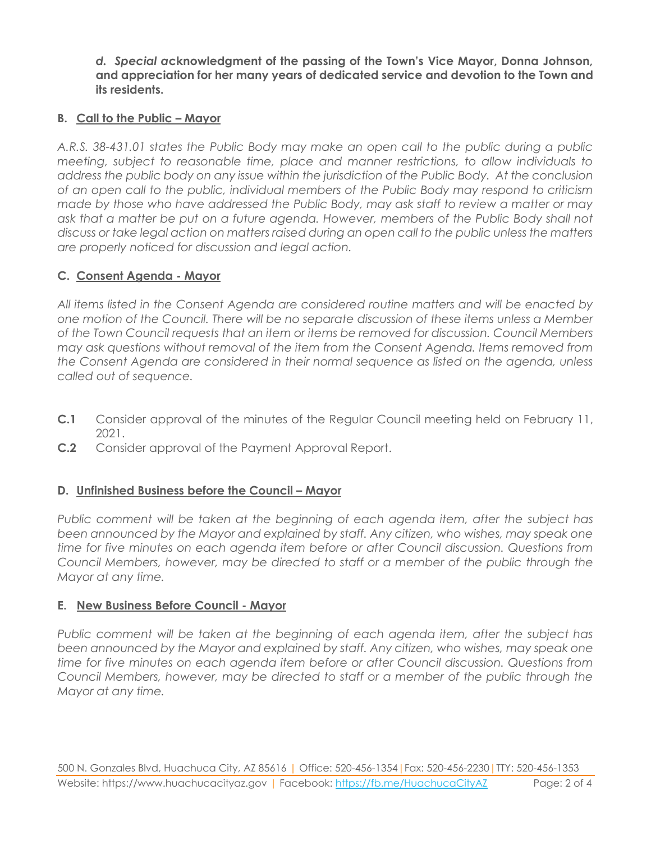*d. Special a***cknowledgment of the passing of the Town's Vice Mayor, Donna Johnson, and appreciation for her many years of dedicated service and devotion to the Town and its residents.**

#### **B. Call to the Public – Mayor**

*A.R.S. 38-431.01 states the Public Body may make an open call to the public during a public meeting, subject to reasonable time, place and manner restrictions, to allow individuals to address the public body on any issue within the jurisdiction of the Public Body. At the conclusion of an open call to the public, individual members of the Public Body may respond to criticism made by those who have addressed the Public Body, may ask staff to review a matter or may ask that a matter be put on a future agenda. However, members of the Public Body shall not discuss or take legal action on matters raised during an open call to the public unless the matters are properly noticed for discussion and legal action.*

## **C. Consent Agenda - Mayor**

*All items listed in the Consent Agenda are considered routine matters and will be enacted by one motion of the Council. There will be no separate discussion of these items unless a Member of the Town Council requests that an item or items be removed for discussion. Council Members may ask questions without removal of the item from the Consent Agenda. Items removed from the Consent Agenda are considered in their normal sequence as listed on the agenda, unless called out of sequence.*

- **C.1** Consider approval of the minutes of the Regular Council meeting held on February 11, 2021.
- **C.2** Consider approval of the Payment Approval Report.

#### **D.** Unfinished Business before the Council – Mayor

*Public comment will be taken at the beginning of each agenda item, after the subject has*  been announced by the Mayor and explained by staff. Any citizen, who wishes, may speak one *time for five minutes on each agenda item before or after Council discussion. Questions from Council Members, however, may be directed to staff or a member of the public through the Mayor at any time.*

#### **E. New Business Before Council - Mayor**

*Public comment will be taken at the beginning of each agenda item, after the subject has been announced by the Mayor and explained by staff. Any citizen, who wishes, may speak one time for five minutes on each agenda item before or after Council discussion. Questions from Council Members, however, may be directed to staff or a member of the public through the Mayor at any time.*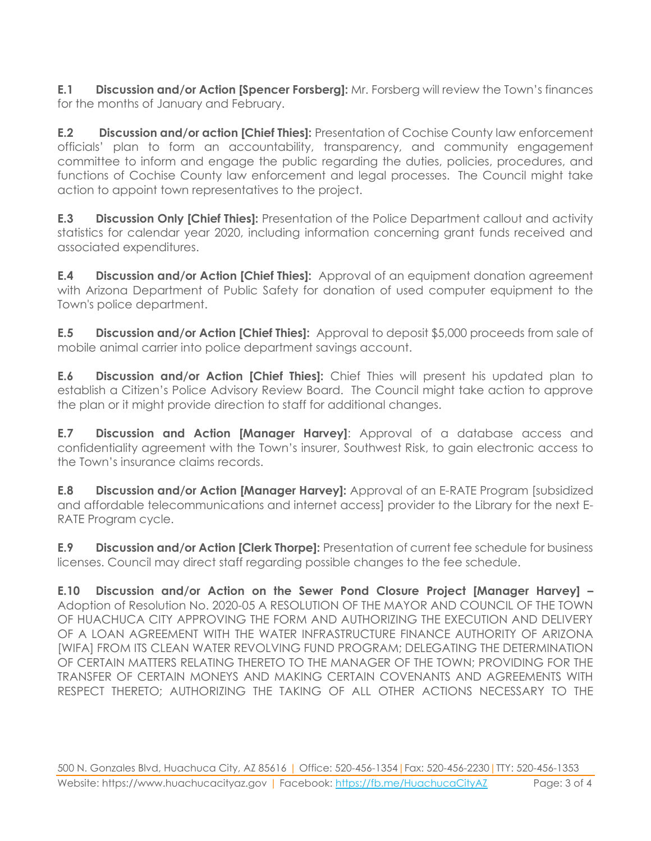**E.1 Discussion and/or Action [Spencer Forsberg]:** Mr. Forsberg will review the Town's finances for the months of January and February.

**E.2 Discussion and/or action [Chief Thies]:** Presentation of Cochise County law enforcement officials' plan to form an accountability, transparency, and community engagement committee to inform and engage the public regarding the duties, policies, procedures, and functions of Cochise County law enforcement and legal processes. The Council might take action to appoint town representatives to the project.

**E.3 Discussion Only [Chief Thies]:** Presentation of the Police Department callout and activity statistics for calendar year 2020, including information concerning grant funds received and associated expenditures.

**E.4 Discussion and/or Action [Chief Thies]:** Approval of an equipment donation agreement with Arizona Department of Public Safety for donation of used computer equipment to the Town's police department.

**E.5 Discussion and/or Action [Chief Thies]:** Approval to deposit \$5,000 proceeds from sale of mobile animal carrier into police department savings account.

**E.6 Discussion and/or Action [Chief Thies]:** Chief Thies will present his updated plan to establish a Citizen's Police Advisory Review Board. The Council might take action to approve the plan or it might provide direction to staff for additional changes.

**E.7 Discussion and Action [Manager Harvey]**: Approval of a database access and confidentiality agreement with the Town's insurer, Southwest Risk, to gain electronic access to the Town's insurance claims records.

**E.8 Discussion and/or Action [Manager Harvey]:** Approval of an E-RATE Program [subsidized and affordable telecommunications and internet access] provider to the Library for the next E-RATE Program cycle.

**E.9 Discussion and/or Action [Clerk Thorpe]:** Presentation of current fee schedule for business licenses. Council may direct staff regarding possible changes to the fee schedule.

**E.10 Discussion and/or Action on the Sewer Pond Closure Project [Manager Harvey] –** Adoption of Resolution No. 2020-05 A RESOLUTION OF THE MAYOR AND COUNCIL OF THE TOWN OF HUACHUCA CITY APPROVING THE FORM AND AUTHORIZING THE EXECUTION AND DELIVERY OF A LOAN AGREEMENT WITH THE WATER INFRASTRUCTURE FINANCE AUTHORITY OF ARIZONA [WIFA] FROM ITS CLEAN WATER REVOLVING FUND PROGRAM; DELEGATING THE DETERMINATION OF CERTAIN MATTERS RELATING THERETO TO THE MANAGER OF THE TOWN; PROVIDING FOR THE TRANSFER OF CERTAIN MONEYS AND MAKING CERTAIN COVENANTS AND AGREEMENTS WITH RESPECT THERETO; AUTHORIZING THE TAKING OF ALL OTHER ACTIONS NECESSARY TO THE